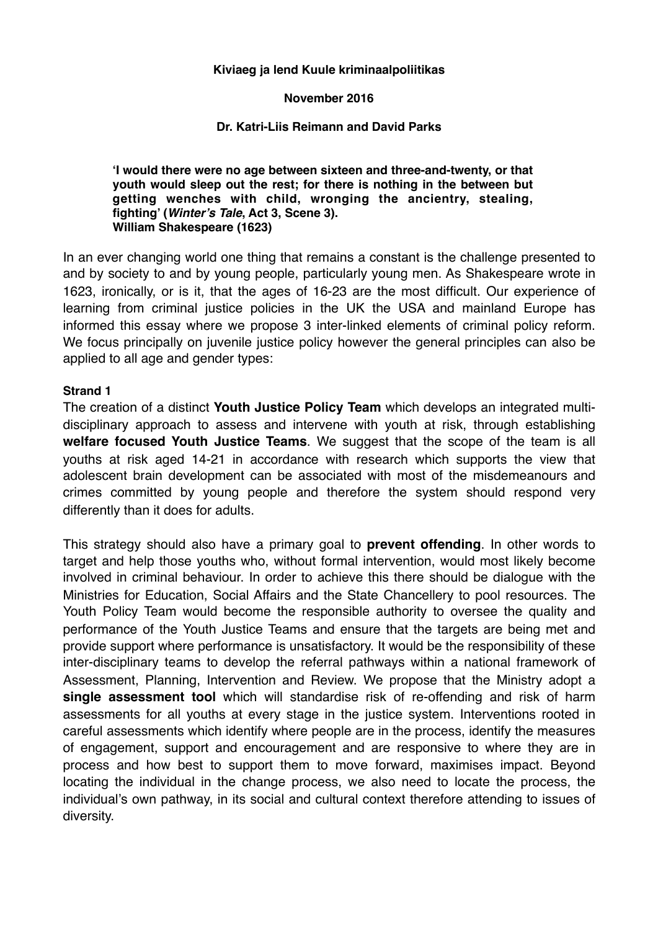#### **Kiviaeg ja lend Kuule kriminaalpoliitikas**

#### **November 2016**

### **Dr. Katri-Liis Reimann and David Parks**

**'I would there were no age between sixteen and three-and-twenty, or that youth would sleep out the rest; for there is nothing in the between but getting wenches with child, wronging the ancientry, stealing, fighting' (***Winter's Tale***, Act 3, Scene 3). William Shakespeare (1623)**

In an ever changing world one thing that remains a constant is the challenge presented to and by society to and by young people, particularly young men. As Shakespeare wrote in 1623, ironically, or is it, that the ages of 16-23 are the most difficult. Our experience of learning from criminal justice policies in the UK the USA and mainland Europe has informed this essay where we propose 3 inter-linked elements of criminal policy reform. We focus principally on juvenile justice policy however the general principles can also be applied to all age and gender types:

#### **Strand 1**

The creation of a distinct **Youth Justice Policy Team** which develops an integrated multidisciplinary approach to assess and intervene with youth at risk, through establishing **welfare focused Youth Justice Teams**. We suggest that the scope of the team is all youths at risk aged 14-21 in accordance with research which supports the view that adolescent brain development can be associated with most of the misdemeanours and crimes committed by young people and therefore the system should respond very differently than it does for adults.

This strategy should also have a primary goal to **prevent offending**. In other words to target and help those youths who, without formal intervention, would most likely become involved in criminal behaviour. In order to achieve this there should be dialogue with the Ministries for Education, Social Affairs and the State Chancellery to pool resources. The Youth Policy Team would become the responsible authority to oversee the quality and performance of the Youth Justice Teams and ensure that the targets are being met and provide support where performance is unsatisfactory. It would be the responsibility of these inter-disciplinary teams to develop the referral pathways within a national framework of Assessment, Planning, Intervention and Review. We propose that the Ministry adopt a **single assessment tool** which will standardise risk of re-offending and risk of harm assessments for all youths at every stage in the justice system. Interventions rooted in careful assessments which identify where people are in the process, identify the measures of engagement, support and encouragement and are responsive to where they are in process and how best to support them to move forward, maximises impact. Beyond locating the individual in the change process, we also need to locate the process, the individual's own pathway, in its social and cultural context therefore attending to issues of diversity.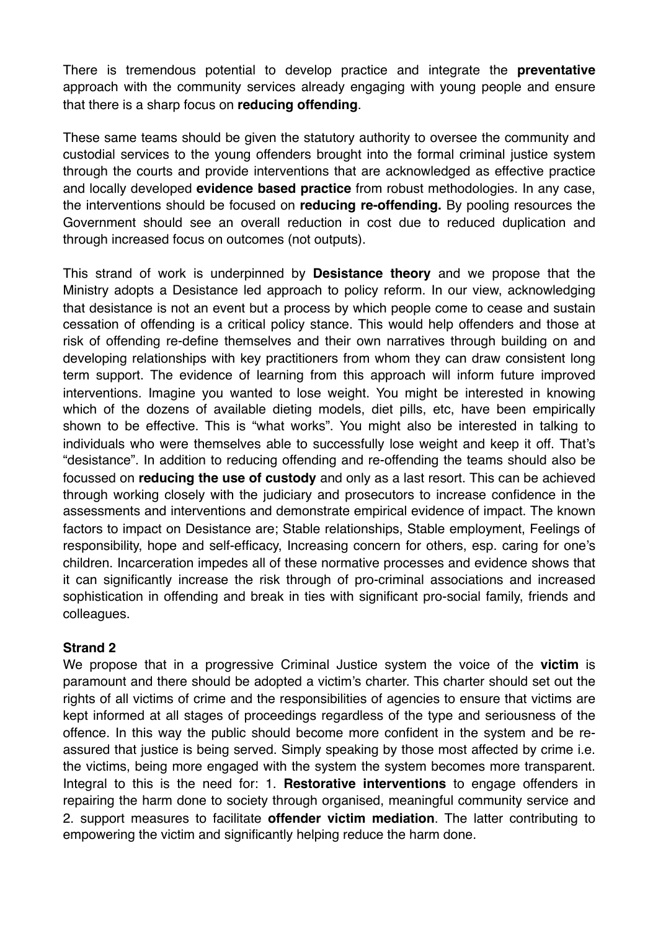There is tremendous potential to develop practice and integrate the **preventative** approach with the community services already engaging with young people and ensure that there is a sharp focus on **reducing offending**.

These same teams should be given the statutory authority to oversee the community and custodial services to the young offenders brought into the formal criminal justice system through the courts and provide interventions that are acknowledged as effective practice and locally developed **evidence based practice** from robust methodologies. In any case, the interventions should be focused on **reducing re-offending.** By pooling resources the Government should see an overall reduction in cost due to reduced duplication and through increased focus on outcomes (not outputs).

This strand of work is underpinned by **Desistance theory** and we propose that the Ministry adopts a Desistance led approach to policy reform. In our view, acknowledging that desistance is not an event but a process by which people come to cease and sustain cessation of offending is a critical policy stance. This would help offenders and those at risk of offending re-define themselves and their own narratives through building on and developing relationships with key practitioners from whom they can draw consistent long term support. The evidence of learning from this approach will inform future improved interventions. Imagine you wanted to lose weight. You might be interested in knowing which of the dozens of available dieting models, diet pills, etc, have been empirically shown to be effective. This is "what works". You might also be interested in talking to individuals who were themselves able to successfully lose weight and keep it off. That's "desistance". In addition to reducing offending and re-offending the teams should also be focussed on **reducing the use of custody** and only as a last resort. This can be achieved through working closely with the judiciary and prosecutors to increase confidence in the assessments and interventions and demonstrate empirical evidence of impact. The known factors to impact on Desistance are; Stable relationships, Stable employment, Feelings of responsibility, hope and self-efficacy, Increasing concern for others, esp. caring for one's children. Incarceration impedes all of these normative processes and evidence shows that it can significantly increase the risk through of pro-criminal associations and increased sophistication in offending and break in ties with significant pro-social family, friends and colleagues.

# **Strand 2**

We propose that in a progressive Criminal Justice system the voice of the **victim** is paramount and there should be adopted a victim's charter. This charter should set out the rights of all victims of crime and the responsibilities of agencies to ensure that victims are kept informed at all stages of proceedings regardless of the type and seriousness of the offence. In this way the public should become more confident in the system and be reassured that justice is being served. Simply speaking by those most affected by crime i.e. the victims, being more engaged with the system the system becomes more transparent. Integral to this is the need for: 1. **Restorative interventions** to engage offenders in repairing the harm done to society through organised, meaningful community service and 2. support measures to facilitate **offender victim mediation**. The latter contributing to empowering the victim and significantly helping reduce the harm done.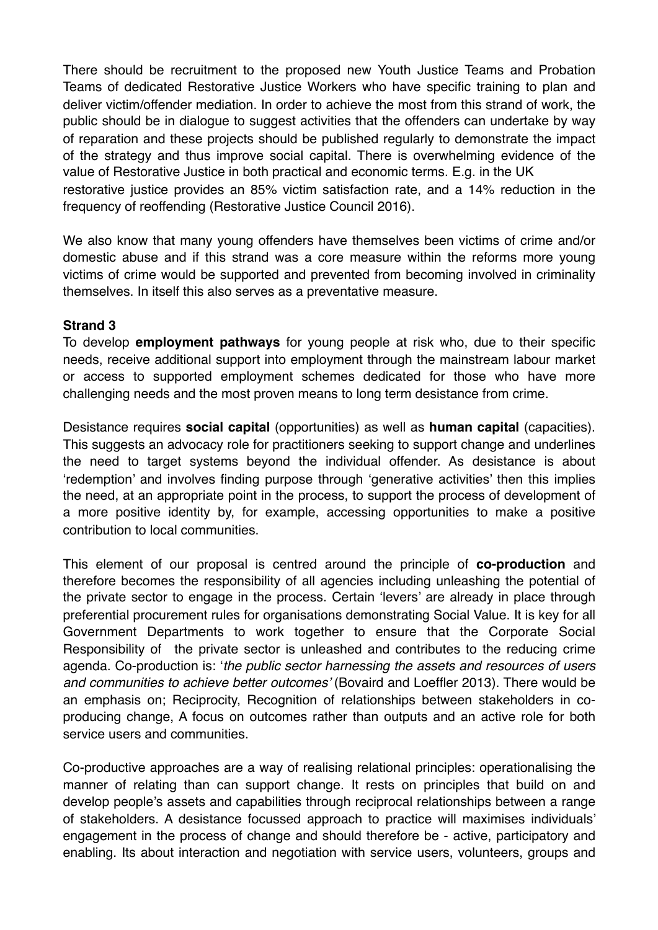There should be recruitment to the proposed new Youth Justice Teams and Probation Teams of dedicated Restorative Justice Workers who have specific training to plan and deliver victim/offender mediation. In order to achieve the most from this strand of work, the public should be in dialogue to suggest activities that the offenders can undertake by way of reparation and these projects should be published regularly to demonstrate the impact of the strategy and thus improve social capital. There is overwhelming evidence of the value of Restorative Justice in both practical and economic terms. E.g. in the UK restorative justice provides an 85% victim satisfaction rate, and a 14% reduction in the

frequency of reoffending (Restorative Justice Council 2016).

We also know that many young offenders have themselves been victims of crime and/or domestic abuse and if this strand was a core measure within the reforms more young victims of crime would be supported and prevented from becoming involved in criminality themselves. In itself this also serves as a preventative measure.

## **Strand 3**

To develop **employment pathways** for young people at risk who, due to their specific needs, receive additional support into employment through the mainstream labour market or access to supported employment schemes dedicated for those who have more challenging needs and the most proven means to long term desistance from crime.

Desistance requires **social capital** (opportunities) as well as **human capital** (capacities). This suggests an advocacy role for practitioners seeking to support change and underlines the need to target systems beyond the individual offender. As desistance is about 'redemption' and involves finding purpose through 'generative activities' then this implies the need, at an appropriate point in the process, to support the process of development of a more positive identity by, for example, accessing opportunities to make a positive contribution to local communities.

This element of our proposal is centred around the principle of **co-production** and therefore becomes the responsibility of all agencies including unleashing the potential of the private sector to engage in the process. Certain 'levers' are already in place through preferential procurement rules for organisations demonstrating Social Value. It is key for all Government Departments to work together to ensure that the Corporate Social Responsibility of the private sector is unleashed and contributes to the reducing crime agenda. Co-production is: '*the public sector harnessing the assets and resources of users and communities to achieve better outcomes'* (Bovaird and Loeffler 2013). There would be an emphasis on; Reciprocity, Recognition of relationships between stakeholders in coproducing change, A focus on outcomes rather than outputs and an active role for both service users and communities.

Co-productive approaches are a way of realising relational principles: operationalising the manner of relating than can support change. It rests on principles that build on and develop people's assets and capabilities through reciprocal relationships between a range of stakeholders. A desistance focussed approach to practice will maximises individuals' engagement in the process of change and should therefore be - active, participatory and enabling. Its about interaction and negotiation with service users, volunteers, groups and